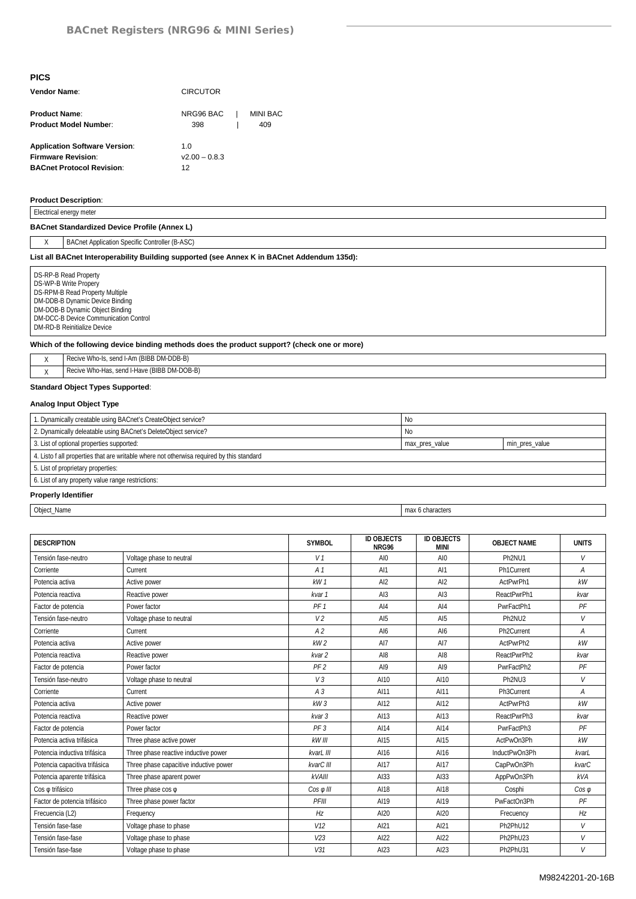| Vendor Name:                                                                                          | <b>CIRCUTOR</b>              |  |                 |  |  |
|-------------------------------------------------------------------------------------------------------|------------------------------|--|-----------------|--|--|
| <b>Product Name:</b><br><b>Product Model Number:</b>                                                  | NRG96 BAC  <br>398           |  | MINI BAC<br>409 |  |  |
| <b>Application Software Version:</b><br><b>Firmware Revision:</b><br><b>BACnet Protocol Revision:</b> | 1 O<br>$v2.00 - 0.8.3$<br>12 |  |                 |  |  |

#### **Product Description**:

| Electrical energy meter                                                                    |  |  |  |  |  |
|--------------------------------------------------------------------------------------------|--|--|--|--|--|
| <b>BACnet Standardized Device Profile (Annex L)</b>                                        |  |  |  |  |  |
| X<br><b>BACnet Application Specific Controller (B-ASC)</b>                                 |  |  |  |  |  |
| List all BACnet Interoperability Building supported (see Annex K in BACnet Addendum 135d): |  |  |  |  |  |
| DS-RP-B Read Property<br>DS-WP-B Write Propery<br><b>DS-RPM-B Read Property Multiple</b>   |  |  |  |  |  |

DM-DDB-B Dynamic Device Binding DM-DOB-B Dynamic Object Binding DM-DCC-B Device Communication Control DM-RD-B Reinitialize Device

#### **Which of the following device binding methods does the product support? (check one or more)**

| Recive Who-Is, send I-Am (BIBB DM-DDB-B)    |
|---------------------------------------------|
| Recive Who-Has, send I-Have (BIBB DM-DOB-B) |

# **Standard Object Types Supported**:

#### **Analog Input Object Type**

| 1. Dynamically creatable using BACnet's CreateObject service?                             | No.            |                |  |  |  |
|-------------------------------------------------------------------------------------------|----------------|----------------|--|--|--|
| 2. Dynamically deleatable using BACnet's DeleteObject service?                            | No             |                |  |  |  |
| 3. List of optional properties supported:                                                 | max pres value | min pres value |  |  |  |
| 4. Listo f all properties that are writable where not otherwisa required by this standard |                |                |  |  |  |
| 5. List of proprietary properties:                                                        |                |                |  |  |  |
| 6. List of any property value range restrictions:                                         |                |                |  |  |  |
|                                                                                           |                |                |  |  |  |

## **Properly Identifier**

Object\_Name max 6 characters

| <b>DESCRIPTION</b>            |                                        | <b>SYMBOL</b>     | <b>ID OBJECTS</b><br>NRG96 | <b>ID OBJECTS</b><br><b>MINI</b> | <b>OBJECT NAME</b>      | <b>UNITS</b>   |
|-------------------------------|----------------------------------------|-------------------|----------------------------|----------------------------------|-------------------------|----------------|
| Tensión fase-neutro           | Voltage phase to neutral               | V <sub>1</sub>    | AI0                        | AI0                              | Ph <sub>2NU1</sub>      | V              |
| Corriente                     | Current                                | A <sub>1</sub>    | AI1                        | AI1                              | Ph1Current              | A              |
| Potencia activa               | Active power                           | kW1               | AI2                        | AI2                              | ActPwrPh1               | kW             |
| Potencia reactiva             | Reactive power                         | kvar 1            | AI3                        | AI3                              | ReactPwrPh1             | kvar           |
| Factor de potencia            | Power factor                           | PF <sub>1</sub>   | A14                        | A14                              | PwrFactPh1              | PF             |
| Tensión fase-neutro           | Voltage phase to neutral               | V <sub>2</sub>    | AI5                        | AI5                              | Ph <sub>2NU2</sub>      | $\vee$         |
| Corriente                     | Current                                | A <sub>2</sub>    | Al6                        | Al6                              | Ph <sub>2</sub> Current | $\overline{A}$ |
| Potencia activa               | Active power                           | kW2               | AI7                        | AI7                              | ActPwrPh2               | kW             |
| Potencia reactiva             | Reactive power                         | kvar <sub>2</sub> | AI <sub>8</sub>            | AI <sub>8</sub>                  | ReactPwrPh2             | kvar           |
| Factor de potencia            | Power factor                           | PF <sub>2</sub>   | AI9                        | AI9                              | PwrFactPh2              | PF             |
| Tensión fase-neutro           | Voltage phase to neutral               | V3                | AI10                       | AI10                             | Ph <sub>2NU3</sub>      | V              |
| Corriente                     | Current                                | A <sub>3</sub>    | AI11                       | AI11                             | Ph3Current              | A              |
| Potencia activa               | Active power                           | kW3               | AI12                       | AI12                             | ActPwrPh3               | kW             |
| Potencia reactiva             | Reactive power                         | kvar 3            | AI13                       | AI13                             | ReactPwrPh3             | kvar           |
| Factor de potencia            | Power factor                           | PF <sub>3</sub>   | AI14                       | AI14                             | PwrFactPh3              | PF             |
| Potencia activa trifásica     | Three phase active power               | $k$ W III         | AI15                       | AI15                             | ActPwOn3Ph              | kW             |
| Potencia inductiva trifásica  | Three phase reactive inductive power   | kvarL III         | AI16                       | AI16                             | InductPwOn3Ph           | kvarL          |
| Potencia capacitiva trifásica | Three phase capacitive inductive power | kvarC III         | AI17                       | AI17                             | CapPwOn3Ph              | kvarC          |
| Potencia aparente trifásica   | Three phase aparent power              | $k$ <i>VAIII</i>  | AI33                       | AI33                             | AppPwOn3Ph              | kVA            |
| Cos o trifásico               | Three phase $\cos \varphi$             | $Cos \varphi$ III | AI18                       | AI18                             | Cosphi                  | $\cos \varphi$ |
| Factor de potencia trifásico  | Three phase power factor               | PFIII             | AI19                       | A119                             | PwFactOn3Ph             | PF             |
| Frecuencia (L2)               | Frequency                              | Hz                | AI20                       | A120                             | Frecuency               | Hz             |
| Tensión fase-fase             | Voltage phase to phase                 | V12               | AI21                       | AI21                             | Ph <sub>2PhU12</sub>    | $\vee$         |
| Tensión fase-fase             | Voltage phase to phase                 | V <sub>23</sub>   | AI22                       | AI22                             | Ph <sub>2PhU23</sub>    | V              |
| Tensión fase-fase             | Voltage phase to phase                 | V <sub>31</sub>   | AI23                       | AI23                             | Ph <sub>2PhU31</sub>    | V              |